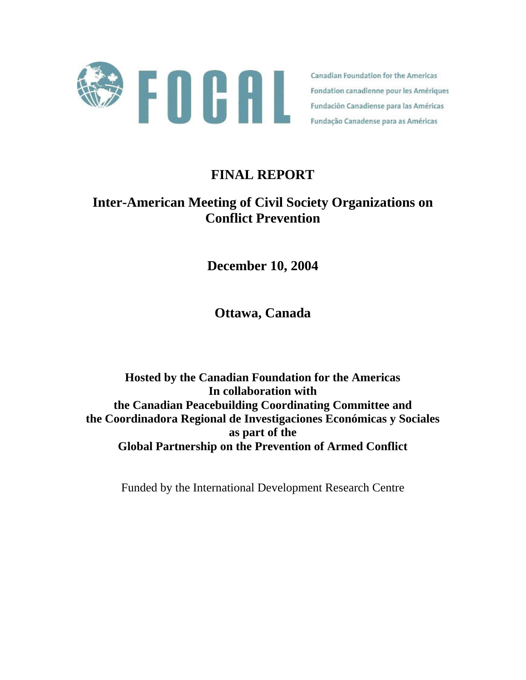

**Canadian Foundation for the Americas** Fondation canadienne pour les Amériques Fundación Canadiense para las Américas Fundação Canadense para as Américas

# **FINAL REPORT**

# **Inter-American Meeting of Civil Society Organizations on Conflict Prevention**

**December 10, 2004** 

**Ottawa, Canada**

**Hosted by the Canadian Foundation for the Americas In collaboration with the Canadian Peacebuilding Coordinating Committee and the Coordinadora Regional de Investigaciones Económicas y Sociales as part of the Global Partnership on the Prevention of Armed Conflict** 

Funded by the International Development Research Centre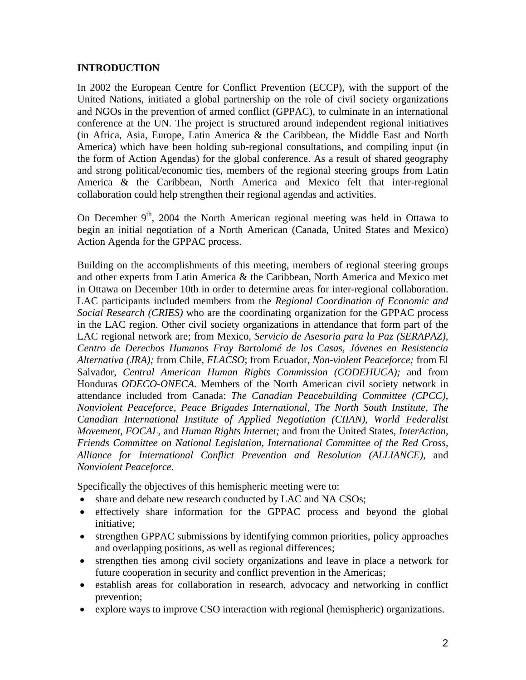## **INTRODUCTION**

In 2002 the European Centre for Conflict Prevention (ECCP), with the support of the United Nations, initiated a global partnership on the role of civil society organizations and NGOs in the prevention of armed conflict (GPPAC), to culminate in an international conference at the UN. The project is structured around independent regional initiatives (in Africa, Asia, Europe, Latin America & the Caribbean, the Middle East and North America) which have been holding sub-regional consultations, and compiling input (in the form of Action Agendas) for the global conference. As a result of shared geography and strong political/economic ties, members of the regional steering groups from Latin America & the Caribbean, North America and Mexico felt that inter-regional collaboration could help strengthen their regional agendas and activities.

On December  $9<sup>th</sup>$ , 2004 the North American regional meeting was held in Ottawa to begin an initial negotiation of a North American (Canada, United States and Mexico) Action Agenda for the GPPAC process.

Building on the accomplishments of this meeting, members of regional steering groups and other experts from Latin America & the Caribbean, North America and Mexico met in Ottawa on December 10th in order to determine areas for inter-regional collaboration. LAC participants included members from the *Regional Coordination of Economic and Social Research (CRIES)* who are the coordinating organization for the GPPAC process in the LAC region. Other civil society organizations in attendance that form part of the LAC regional network are; from Mexico, *Servicio de Asesoria para la Paz (SERAPAZ), Centro de Derechos Humanos Fray Bartolomé de las Casas, Jóvenes en Resistencia Alternativa (JRA);* from Chile, *FLACSO*; from Ecuador, *Non-violent Peaceforce;* from El Salvador, *Central American Human Rights Commission (CODEHUCA);* and from Honduras *ODECO-ONECA.* Members of the North American civil society network in attendance included from Canada: *The Canadian Peacebuilding Committee (CPCC)*, *Nonviolent Peaceforce, Peace Brigades International, The North South Institute, The Canadian International Institute of Applied Negotiation (CIIAN), World Federalist Movement, FOCAL,* and *Human Rights Internet;* and from the United States, *InterAction, Friends Committee on National Legislation, International Committee of the Red Cross, Alliance for International Conflict Prevention and Resolution (ALLIANCE)*, and *Nonviolent Peaceforce*.

Specifically the objectives of this hemispheric meeting were to:

- share and debate new research conducted by LAC and NA CSOs;
- effectively share information for the GPPAC process and beyond the global initiative;
- strengthen GPPAC submissions by identifying common priorities, policy approaches and overlapping positions, as well as regional differences;
- strengthen ties among civil society organizations and leave in place a network for future cooperation in security and conflict prevention in the Americas;
- establish areas for collaboration in research, advocacy and networking in conflict prevention;
- explore ways to improve CSO interaction with regional (hemispheric) organizations.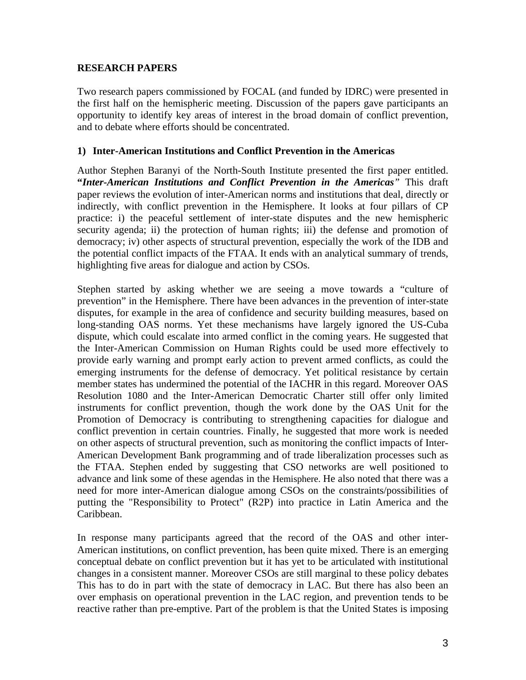#### **RESEARCH PAPERS**

Two research papers commissioned by FOCAL (and funded by IDRC) were presented in the first half on the hemispheric meeting. Discussion of the papers gave participants an opportunity to identify key areas of interest in the broad domain of conflict prevention, and to debate where efforts should be concentrated.

### **1) Inter-American Institutions and Conflict Prevention in the Americas**

Author Stephen Baranyi of the North-South Institute presented the first paper entitled. **"***Inter-American Institutions and Conflict Prevention in the Americas"* This draft paper reviews the evolution of inter-American norms and institutions that deal, directly or indirectly, with conflict prevention in the Hemisphere. It looks at four pillars of CP practice: i) the peaceful settlement of inter-state disputes and the new hemispheric security agenda; ii) the protection of human rights; iii) the defense and promotion of democracy; iv) other aspects of structural prevention, especially the work of the IDB and the potential conflict impacts of the FTAA. It ends with an analytical summary of trends, highlighting five areas for dialogue and action by CSOs.

Stephen started by asking whether we are seeing a move towards a "culture of prevention" in the Hemisphere. There have been advances in the prevention of inter-state disputes, for example in the area of confidence and security building measures, based on long-standing OAS norms. Yet these mechanisms have largely ignored the US-Cuba dispute, which could escalate into armed conflict in the coming years. He suggested that the Inter-American Commission on Human Rights could be used more effectively to provide early warning and prompt early action to prevent armed conflicts, as could the emerging instruments for the defense of democracy. Yet political resistance by certain member states has undermined the potential of the IACHR in this regard. Moreover OAS Resolution 1080 and the Inter-American Democratic Charter still offer only limited instruments for conflict prevention, though the work done by the OAS Unit for the Promotion of Democracy is contributing to strengthening capacities for dialogue and conflict prevention in certain countries. Finally, he suggested that more work is needed on other aspects of structural prevention, such as monitoring the conflict impacts of Inter-American Development Bank programming and of trade liberalization processes such as the FTAA. Stephen ended by suggesting that CSO networks are well positioned to advance and link some of these agendas in the Hemisphere. He also noted that there was a need for more inter-American dialogue among CSOs on the constraints/possibilities of putting the "Responsibility to Protect" (R2P) into practice in Latin America and the Caribbean.

In response many participants agreed that the record of the OAS and other inter-American institutions, on conflict prevention, has been quite mixed. There is an emerging conceptual debate on conflict prevention but it has yet to be articulated with institutional changes in a consistent manner. Moreover CSOs are still marginal to these policy debates This has to do in part with the state of democracy in LAC. But there has also been an over emphasis on operational prevention in the LAC region, and prevention tends to be reactive rather than pre-emptive. Part of the problem is that the United States is imposing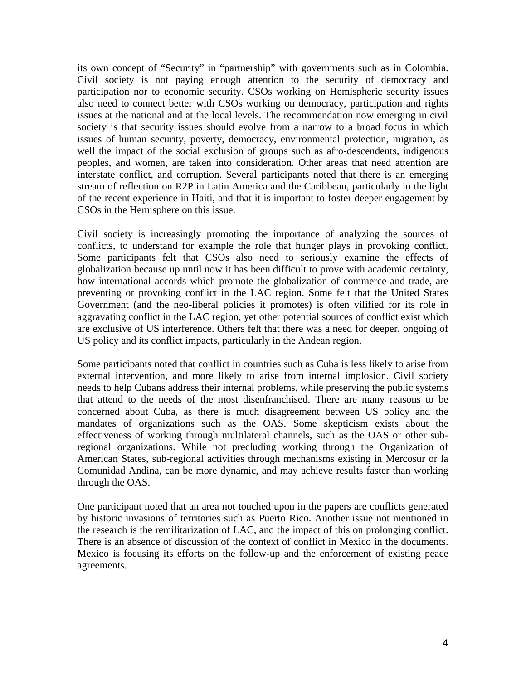its own concept of "Security" in "partnership" with governments such as in Colombia. Civil society is not paying enough attention to the security of democracy and participation nor to economic security. CSOs working on Hemispheric security issues also need to connect better with CSOs working on democracy, participation and rights issues at the national and at the local levels. The recommendation now emerging in civil society is that security issues should evolve from a narrow to a broad focus in which issues of human security, poverty, democracy, environmental protection, migration, as well the impact of the social exclusion of groups such as afro-descendents, indigenous peoples, and women, are taken into consideration. Other areas that need attention are interstate conflict, and corruption. Several participants noted that there is an emerging stream of reflection on R2P in Latin America and the Caribbean, particularly in the light of the recent experience in Haiti, and that it is important to foster deeper engagement by CSOs in the Hemisphere on this issue.

Civil society is increasingly promoting the importance of analyzing the sources of conflicts, to understand for example the role that hunger plays in provoking conflict. Some participants felt that CSOs also need to seriously examine the effects of globalization because up until now it has been difficult to prove with academic certainty, how international accords which promote the globalization of commerce and trade, are preventing or provoking conflict in the LAC region. Some felt that the United States Government (and the neo-liberal policies it promotes) is often vilified for its role in aggravating conflict in the LAC region, yet other potential sources of conflict exist which are exclusive of US interference. Others felt that there was a need for deeper, ongoing of US policy and its conflict impacts, particularly in the Andean region.

Some participants noted that conflict in countries such as Cuba is less likely to arise from external intervention, and more likely to arise from internal implosion. Civil society needs to help Cubans address their internal problems, while preserving the public systems that attend to the needs of the most disenfranchised. There are many reasons to be concerned about Cuba, as there is much disagreement between US policy and the mandates of organizations such as the OAS. Some skepticism exists about the effectiveness of working through multilateral channels, such as the OAS or other subregional organizations. While not precluding working through the Organization of American States, sub-regional activities through mechanisms existing in Mercosur or la Comunidad Andina, can be more dynamic, and may achieve results faster than working through the OAS.

One participant noted that an area not touched upon in the papers are conflicts generated by historic invasions of territories such as Puerto Rico. Another issue not mentioned in the research is the remilitarization of LAC, and the impact of this on prolonging conflict. There is an absence of discussion of the context of conflict in Mexico in the documents. Mexico is focusing its efforts on the follow-up and the enforcement of existing peace agreements.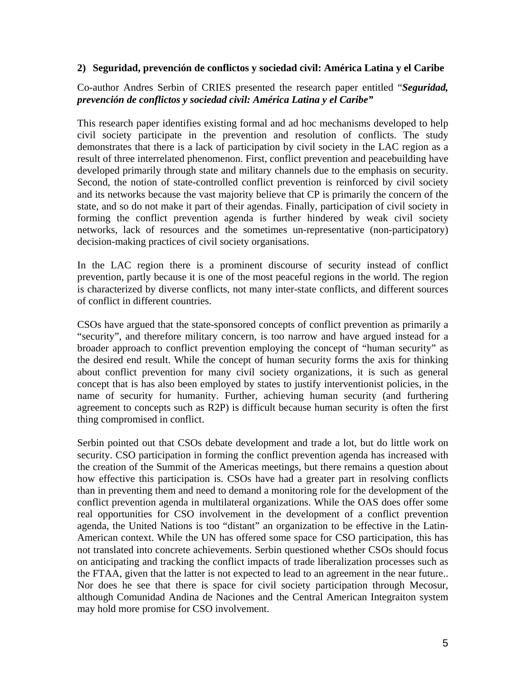#### **2) Seguridad, prevención de conflictos y sociedad civil: América Latina y el Caribe**

## Co-author Andres Serbin of CRIES presented the research paper entitled "*Seguridad, prevención de conflictos y sociedad civil: América Latina y el Caribe"*

This research paper identifies existing formal and ad hoc mechanisms developed to help civil society participate in the prevention and resolution of conflicts. The study demonstrates that there is a lack of participation by civil society in the LAC region as a result of three interrelated phenomenon. First, conflict prevention and peacebuilding have developed primarily through state and military channels due to the emphasis on security. Second, the notion of state-controlled conflict prevention is reinforced by civil society and its networks because the vast majority believe that CP is primarily the concern of the state, and so do not make it part of their agendas. Finally, participation of civil society in forming the conflict prevention agenda is further hindered by weak civil society networks, lack of resources and the sometimes un-representative (non-participatory) decision-making practices of civil society organisations.

In the LAC region there is a prominent discourse of security instead of conflict prevention, partly because it is one of the most peaceful regions in the world. The region is characterized by diverse conflicts, not many inter-state conflicts, and different sources of conflict in different countries.

CSOs have argued that the state-sponsored concepts of conflict prevention as primarily a "security", and therefore military concern, is too narrow and have argued instead for a broader approach to conflict prevention employing the concept of "human security" as the desired end result. While the concept of human security forms the axis for thinking about conflict prevention for many civil society organizations, it is such as general concept that is has also been employed by states to justify interventionist policies, in the name of security for humanity. Further, achieving human security (and furthering agreement to concepts such as R2P) is difficult because human security is often the first thing compromised in conflict.

Serbin pointed out that CSOs debate development and trade a lot, but do little work on security. CSO participation in forming the conflict prevention agenda has increased with the creation of the Summit of the Americas meetings, but there remains a question about how effective this participation is. CSOs have had a greater part in resolving conflicts than in preventing them and need to demand a monitoring role for the development of the conflict prevention agenda in multilateral organizations. While the OAS does offer some real opportunities for CSO involvement in the development of a conflict prevention agenda, the United Nations is too "distant" an organization to be effective in the Latin-American context. While the UN has offered some space for CSO participation, this has not translated into concrete achievements. Serbin questioned whether CSOs should focus on anticipating and tracking the conflict impacts of trade liberalization processes such as the FTAA, given that the latter is not expected to lead to an agreement in the near future.. Nor does he see that there is space for civil society participation through Mecosur, although Comunidad Andina de Naciones and the Central American Integraiton system may hold more promise for CSO involvement.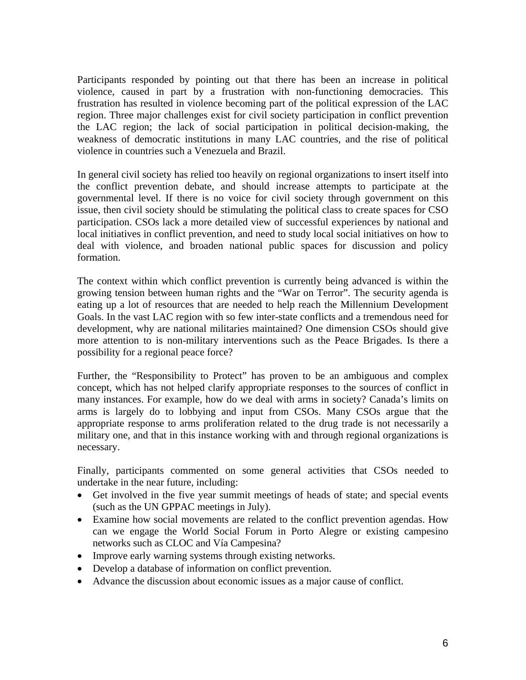Participants responded by pointing out that there has been an increase in political violence, caused in part by a frustration with non-functioning democracies. This frustration has resulted in violence becoming part of the political expression of the LAC region. Three major challenges exist for civil society participation in conflict prevention the LAC region; the lack of social participation in political decision-making, the weakness of democratic institutions in many LAC countries, and the rise of political violence in countries such a Venezuela and Brazil.

In general civil society has relied too heavily on regional organizations to insert itself into the conflict prevention debate, and should increase attempts to participate at the governmental level. If there is no voice for civil society through government on this issue, then civil society should be stimulating the political class to create spaces for CSO participation. CSOs lack a more detailed view of successful experiences by national and local initiatives in conflict prevention, and need to study local social initiatives on how to deal with violence, and broaden national public spaces for discussion and policy formation.

The context within which conflict prevention is currently being advanced is within the growing tension between human rights and the "War on Terror". The security agenda is eating up a lot of resources that are needed to help reach the Millennium Development Goals. In the vast LAC region with so few inter-state conflicts and a tremendous need for development, why are national militaries maintained? One dimension CSOs should give more attention to is non-military interventions such as the Peace Brigades. Is there a possibility for a regional peace force?

Further, the "Responsibility to Protect" has proven to be an ambiguous and complex concept, which has not helped clarify appropriate responses to the sources of conflict in many instances. For example, how do we deal with arms in society? Canada's limits on arms is largely do to lobbying and input from CSOs. Many CSOs argue that the appropriate response to arms proliferation related to the drug trade is not necessarily a military one, and that in this instance working with and through regional organizations is necessary.

Finally, participants commented on some general activities that CSOs needed to undertake in the near future, including:

- Get involved in the five year summit meetings of heads of state; and special events (such as the UN GPPAC meetings in July).
- Examine how social movements are related to the conflict prevention agendas. How can we engage the World Social Forum in Porto Alegre or existing campesino networks such as CLOC and Vía Campesina?
- Improve early warning systems through existing networks.
- Develop a database of information on conflict prevention.
- Advance the discussion about economic issues as a major cause of conflict.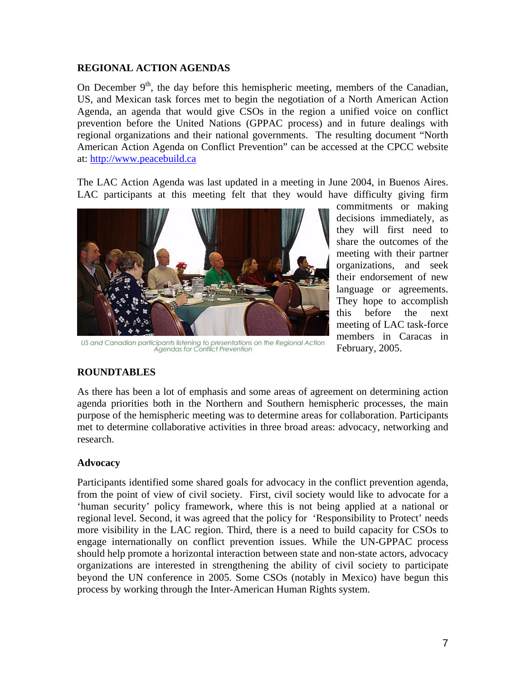## **REGIONAL ACTION AGENDAS**

On December  $9<sup>th</sup>$ , the day before this hemispheric meeting, members of the Canadian, US, and Mexican task forces met to begin the negotiation of a North American Action Agenda, an agenda that would give CSOs in the region a unified voice on conflict prevention before the United Nations (GPPAC process) and in future dealings with regional organizations and their national governments. The resulting document "North American Action Agenda on Conflict Prevention" can be accessed at the CPCC website at: [http://www.peacebuild.ca](http://www.peacebuild.ca/)

The LAC Action Agenda was last updated in a meeting in June 2004, in Buenos Aires. LAC participants at this meeting felt that they would have difficulty giving firm



US and Canadian participants listening to presentations on the Regional Action<br>Agendas for Conflict Prevention

commitments or making decisions immediately, as they will first need to share the outcomes of the meeting with their partner organizations, and seek their endorsement of new language or agreements. They hope to accomplish this before the next meeting of LAC task-force members in Caracas in February, 2005.

## **ROUNDTABLES**

As there has been a lot of emphasis and some areas of agreement on determining action agenda priorities both in the Northern and Southern hemispheric processes, the main purpose of the hemispheric meeting was to determine areas for collaboration. Participants met to determine collaborative activities in three broad areas: advocacy, networking and research.

## **Advocacy**

Participants identified some shared goals for advocacy in the conflict prevention agenda, from the point of view of civil society. First, civil society would like to advocate for a 'human security' policy framework, where this is not being applied at a national or regional level. Second, it was agreed that the policy for 'Responsibility to Protect' needs more visibility in the LAC region. Third, there is a need to build capacity for CSOs to engage internationally on conflict prevention issues. While the UN-GPPAC process should help promote a horizontal interaction between state and non-state actors, advocacy organizations are interested in strengthening the ability of civil society to participate beyond the UN conference in 2005. Some CSOs (notably in Mexico) have begun this process by working through the Inter-American Human Rights system.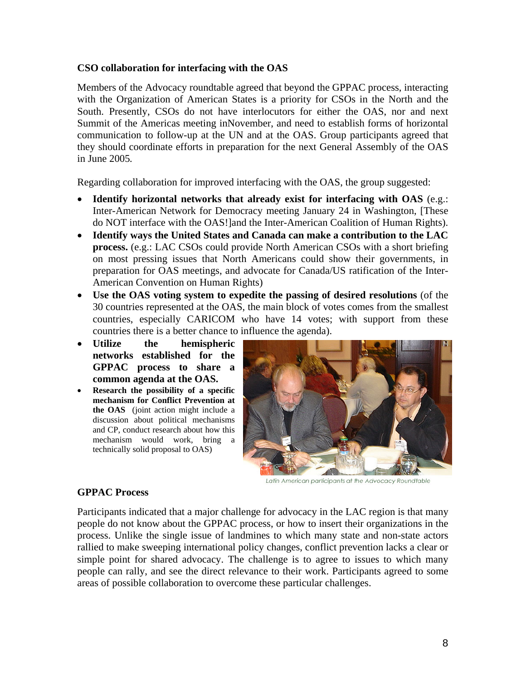### **CSO collaboration for interfacing with the OAS**

Members of the Advocacy roundtable agreed that beyond the GPPAC process, interacting with the Organization of American States is a priority for CSOs in the North and the South. Presently, CSOs do not have interlocutors for either the OAS, nor and next Summit of the Americas meeting inNovember, and need to establish forms of horizontal communication to follow-up at the UN and at the OAS. Group participants agreed that they should coordinate efforts in preparation for the next General Assembly of the OAS in June 2005*.*

Regarding collaboration for improved interfacing with the OAS, the group suggested:

- **Identify horizontal networks that already exist for interfacing with OAS** (e.g.: Inter-American Network for Democracy meeting January 24 in Washington, [These do NOT interface with the OAS!]and the Inter-American Coalition of Human Rights).
- **Identify ways the United States and Canada can make a contribution to the LAC process.** (e.g.: LAC CSOs could provide North American CSOs with a short briefing on most pressing issues that North Americans could show their governments, in preparation for OAS meetings, and advocate for Canada/US ratification of the Inter-American Convention on Human Rights)
- **Use the OAS voting system to expedite the passing of desired resolutions** (of the 30 countries represented at the OAS, the main block of votes comes from the smallest countries, especially CARICOM who have 14 votes; with support from these countries there is a better chance to influence the agenda).
- **Utilize the hemispheric networks established for the GPPAC process to share a common agenda at the OAS.**
- **Research the possibility of a specific mechanism for Conflict Prevention at the OAS** (joint action might include a discussion about political mechanisms and CP, conduct research about how this mechanism would work, bring a technically solid proposal to OAS)



Latin American participants at the Advocacy Roundtable

#### **GPPAC Process**

Participants indicated that a major challenge for advocacy in the LAC region is that many people do not know about the GPPAC process, or how to insert their organizations in the process. Unlike the single issue of landmines to which many state and non-state actors rallied to make sweeping international policy changes, conflict prevention lacks a clear or simple point for shared advocacy. The challenge is to agree to issues to which many people can rally, and see the direct relevance to their work. Participants agreed to some areas of possible collaboration to overcome these particular challenges.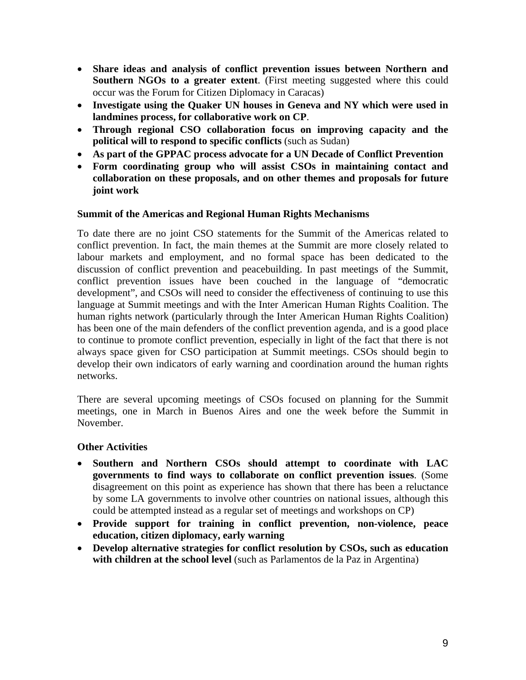- **Share ideas and analysis of conflict prevention issues between Northern and Southern NGOs to a greater extent**. (First meeting suggested where this could occur was the Forum for Citizen Diplomacy in Caracas)
- **Investigate using the Quaker UN houses in Geneva and NY which were used in landmines process, for collaborative work on CP**.
- **Through regional CSO collaboration focus on improving capacity and the political will to respond to specific conflicts** (such as Sudan)
- **As part of the GPPAC process advocate for a UN Decade of Conflict Prevention**
- **Form coordinating group who will assist CSOs in maintaining contact and collaboration on these proposals, and on other themes and proposals for future joint work**

### **Summit of the Americas and Regional Human Rights Mechanisms**

To date there are no joint CSO statements for the Summit of the Americas related to conflict prevention. In fact, the main themes at the Summit are more closely related to labour markets and employment, and no formal space has been dedicated to the discussion of conflict prevention and peacebuilding. In past meetings of the Summit, conflict prevention issues have been couched in the language of "democratic development", and CSOs will need to consider the effectiveness of continuing to use this language at Summit meetings and with the Inter American Human Rights Coalition. The human rights network (particularly through the Inter American Human Rights Coalition) has been one of the main defenders of the conflict prevention agenda, and is a good place to continue to promote conflict prevention, especially in light of the fact that there is not always space given for CSO participation at Summit meetings. CSOs should begin to develop their own indicators of early warning and coordination around the human rights networks.

There are several upcoming meetings of CSOs focused on planning for the Summit meetings, one in March in Buenos Aires and one the week before the Summit in November.

## **Other Activities**

- **Southern and Northern CSOs should attempt to coordinate with LAC governments to find ways to collaborate on conflict prevention issues**. (Some disagreement on this point as experience has shown that there has been a reluctance by some LA governments to involve other countries on national issues, although this could be attempted instead as a regular set of meetings and workshops on CP)
- **Provide support for training in conflict prevention, non-violence, peace education, citizen diplomacy, early warning**
- **Develop alternative strategies for conflict resolution by CSOs, such as education**  with children at the school level (such as Parlamentos de la Paz in Argentina)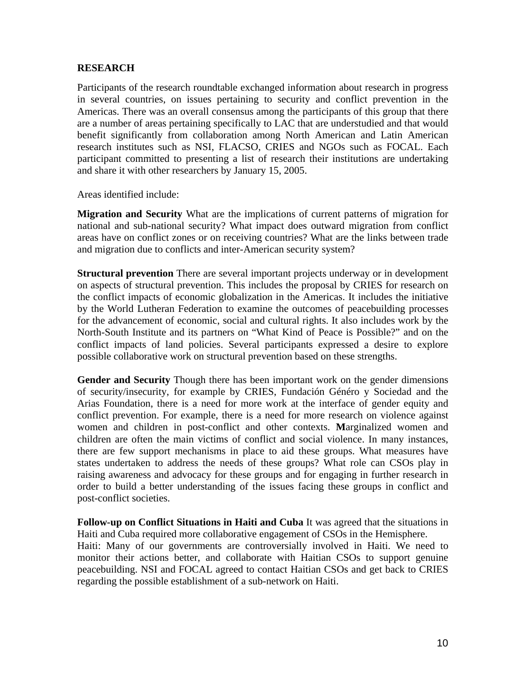#### **RESEARCH**

Participants of the research roundtable exchanged information about research in progress in several countries, on issues pertaining to security and conflict prevention in the Americas. There was an overall consensus among the participants of this group that there are a number of areas pertaining specifically to LAC that are understudied and that would benefit significantly from collaboration among North American and Latin American research institutes such as NSI, FLACSO, CRIES and NGOs such as FOCAL. Each participant committed to presenting a list of research their institutions are undertaking and share it with other researchers by January 15, 2005.

Areas identified include:

**Migration and Security** What are the implications of current patterns of migration for national and sub-national security? What impact does outward migration from conflict areas have on conflict zones or on receiving countries? What are the links between trade and migration due to conflicts and inter-American security system?

**Structural prevention** There are several important projects underway or in development on aspects of structural prevention. This includes the proposal by CRIES for research on the conflict impacts of economic globalization in the Americas. It includes the initiative by the World Lutheran Federation to examine the outcomes of peacebuilding processes for the advancement of economic, social and cultural rights. It also includes work by the North-South Institute and its partners on "What Kind of Peace is Possible?" and on the conflict impacts of land policies. Several participants expressed a desire to explore possible collaborative work on structural prevention based on these strengths.

**Gender and Security** Though there has been important work on the gender dimensions of security/insecurity, for example by CRIES, Fundación Généro y Sociedad and the Arias Foundation, there is a need for more work at the interface of gender equity and conflict prevention. For example, there is a need for more research on violence against women and children in post-conflict and other contexts. **M**arginalized women and children are often the main victims of conflict and social violence. In many instances, there are few support mechanisms in place to aid these groups. What measures have states undertaken to address the needs of these groups? What role can CSOs play in raising awareness and advocacy for these groups and for engaging in further research in order to build a better understanding of the issues facing these groups in conflict and post-conflict societies.

**Follow-up on Conflict Situations in Haiti and Cuba** It was agreed that the situations in Haiti and Cuba required more collaborative engagement of CSOs in the Hemisphere.

Haiti: Many of our governments are controversially involved in Haiti. We need to monitor their actions better, and collaborate with Haitian CSOs to support genuine peacebuilding. NSI and FOCAL agreed to contact Haitian CSOs and get back to CRIES regarding the possible establishment of a sub-network on Haiti.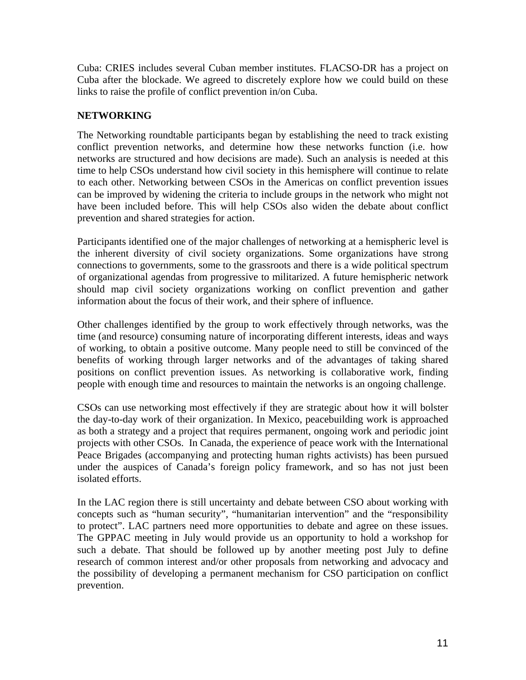Cuba: CRIES includes several Cuban member institutes. FLACSO-DR has a project on Cuba after the blockade. We agreed to discretely explore how we could build on these links to raise the profile of conflict prevention in/on Cuba.

## **NETWORKING**

The Networking roundtable participants began by establishing the need to track existing conflict prevention networks, and determine how these networks function (i.e. how networks are structured and how decisions are made). Such an analysis is needed at this time to help CSOs understand how civil society in this hemisphere will continue to relate to each other. Networking between CSOs in the Americas on conflict prevention issues can be improved by widening the criteria to include groups in the network who might not have been included before. This will help CSOs also widen the debate about conflict prevention and shared strategies for action.

Participants identified one of the major challenges of networking at a hemispheric level is the inherent diversity of civil society organizations. Some organizations have strong connections to governments, some to the grassroots and there is a wide political spectrum of organizational agendas from progressive to militarized. A future hemispheric network should map civil society organizations working on conflict prevention and gather information about the focus of their work, and their sphere of influence.

Other challenges identified by the group to work effectively through networks, was the time (and resource) consuming nature of incorporating different interests, ideas and ways of working, to obtain a positive outcome. Many people need to still be convinced of the benefits of working through larger networks and of the advantages of taking shared positions on conflict prevention issues. As networking is collaborative work, finding people with enough time and resources to maintain the networks is an ongoing challenge.

CSOs can use networking most effectively if they are strategic about how it will bolster the day-to-day work of their organization. In Mexico, peacebuilding work is approached as both a strategy and a project that requires permanent, ongoing work and periodic joint projects with other CSOs. In Canada, the experience of peace work with the International Peace Brigades (accompanying and protecting human rights activists) has been pursued under the auspices of Canada's foreign policy framework, and so has not just been isolated efforts.

In the LAC region there is still uncertainty and debate between CSO about working with concepts such as "human security", "humanitarian intervention" and the "responsibility to protect". LAC partners need more opportunities to debate and agree on these issues. The GPPAC meeting in July would provide us an opportunity to hold a workshop for such a debate. That should be followed up by another meeting post July to define research of common interest and/or other proposals from networking and advocacy and the possibility of developing a permanent mechanism for CSO participation on conflict prevention.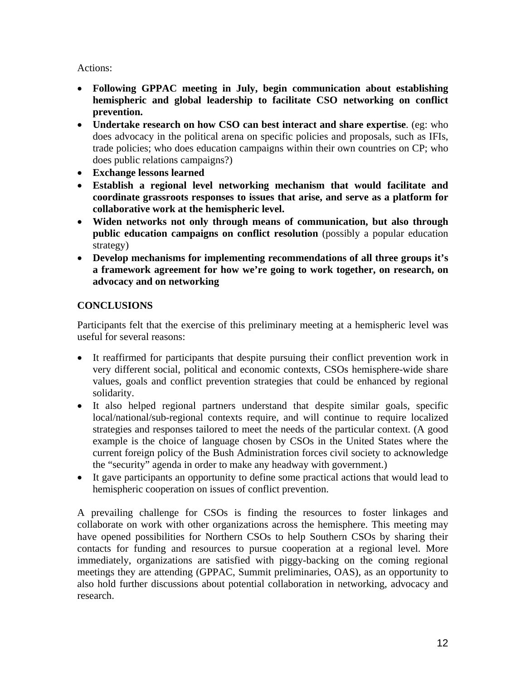## Actions:

- **Following GPPAC meeting in July, begin communication about establishing hemispheric and global leadership to facilitate CSO networking on conflict prevention.**
- **Undertake research on how CSO can best interact and share expertise**. (eg: who does advocacy in the political arena on specific policies and proposals, such as IFIs, trade policies; who does education campaigns within their own countries on CP; who does public relations campaigns?)
- **Exchange lessons learned**
- **Establish a regional level networking mechanism that would facilitate and coordinate grassroots responses to issues that arise, and serve as a platform for collaborative work at the hemispheric level.**
- **Widen networks not only through means of communication, but also through public education campaigns on conflict resolution** (possibly a popular education strategy)
- **Develop mechanisms for implementing recommendations of all three groups it's a framework agreement for how we're going to work together, on research, on advocacy and on networking**

# **CONCLUSIONS**

Participants felt that the exercise of this preliminary meeting at a hemispheric level was useful for several reasons:

- It reaffirmed for participants that despite pursuing their conflict prevention work in very different social, political and economic contexts, CSOs hemisphere-wide share values, goals and conflict prevention strategies that could be enhanced by regional solidarity.
- It also helped regional partners understand that despite similar goals, specific local/national/sub-regional contexts require, and will continue to require localized strategies and responses tailored to meet the needs of the particular context. (A good example is the choice of language chosen by CSOs in the United States where the current foreign policy of the Bush Administration forces civil society to acknowledge the "security" agenda in order to make any headway with government.)
- It gave participants an opportunity to define some practical actions that would lead to hemispheric cooperation on issues of conflict prevention.

A prevailing challenge for CSOs is finding the resources to foster linkages and collaborate on work with other organizations across the hemisphere. This meeting may have opened possibilities for Northern CSOs to help Southern CSOs by sharing their contacts for funding and resources to pursue cooperation at a regional level. More immediately, organizations are satisfied with piggy-backing on the coming regional meetings they are attending (GPPAC, Summit preliminaries, OAS), as an opportunity to also hold further discussions about potential collaboration in networking, advocacy and research.